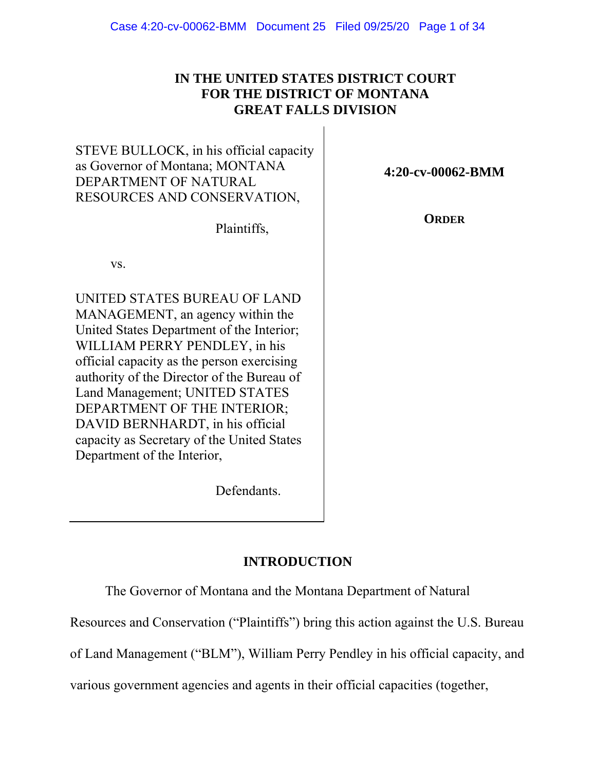# **IN THE UNITED STATES DISTRICT COURT FOR THE DISTRICT OF MONTANA GREAT FALLS DIVISION**

| STEVE BULLOCK, in his official capacity |
|-----------------------------------------|
| as Governor of Montana; MONTANA         |
| DEPARTMENT OF NATURAL                   |
| RESOURCES AND CONSERVATION,             |

Plaintiffs,

vs.

UNITED STATES BUREAU OF LAND MANAGEMENT, an agency within the United States Department of the Interior; WILLIAM PERRY PENDLEY, in his official capacity as the person exercising authority of the Director of the Bureau of Land Management; UNITED STATES DEPARTMENT OF THE INTERIOR; DAVID BERNHARDT, in his official capacity as Secretary of the United States Department of the Interior,

**4:20-cv-00062-BMM** 

**ORDER** 

Defendants.

# **INTRODUCTION**

The Governor of Montana and the Montana Department of Natural

Resources and Conservation ("Plaintiffs") bring this action against the U.S. Bureau

of Land Management ("BLM"), William Perry Pendley in his official capacity, and

various government agencies and agents in their official capacities (together,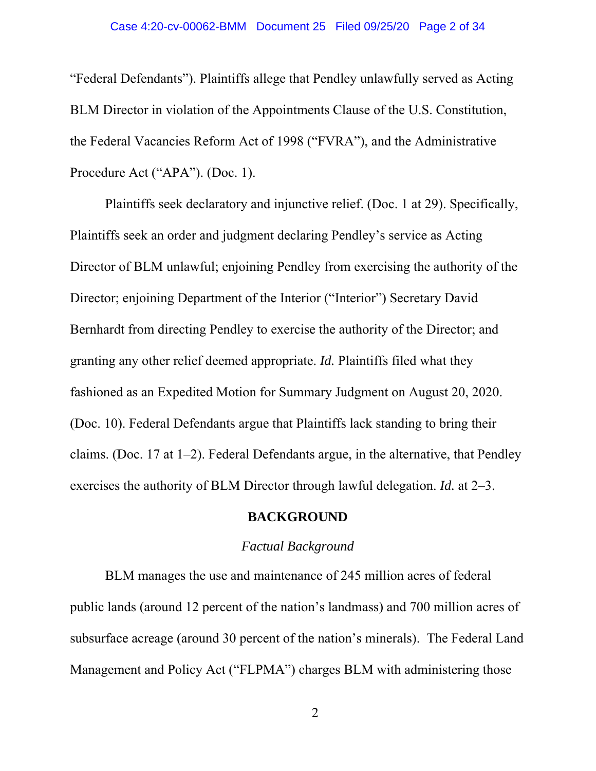"Federal Defendants"). Plaintiffs allege that Pendley unlawfully served as Acting BLM Director in violation of the Appointments Clause of the U.S. Constitution, the Federal Vacancies Reform Act of 1998 ("FVRA"), and the Administrative Procedure Act ("APA"). (Doc. 1).

Plaintiffs seek declaratory and injunctive relief. (Doc. 1 at 29). Specifically, Plaintiffs seek an order and judgment declaring Pendley's service as Acting Director of BLM unlawful; enjoining Pendley from exercising the authority of the Director; enjoining Department of the Interior ("Interior") Secretary David Bernhardt from directing Pendley to exercise the authority of the Director; and granting any other relief deemed appropriate. *Id.* Plaintiffs filed what they fashioned as an Expedited Motion for Summary Judgment on August 20, 2020. (Doc. 10). Federal Defendants argue that Plaintiffs lack standing to bring their claims. (Doc. 17 at 1–2). Federal Defendants argue, in the alternative, that Pendley exercises the authority of BLM Director through lawful delegation. *Id.* at 2–3.

## **BACKGROUND**

## *Factual Background*

BLM manages the use and maintenance of 245 million acres of federal public lands (around 12 percent of the nation's landmass) and 700 million acres of subsurface acreage (around 30 percent of the nation's minerals). The Federal Land Management and Policy Act ("FLPMA") charges BLM with administering those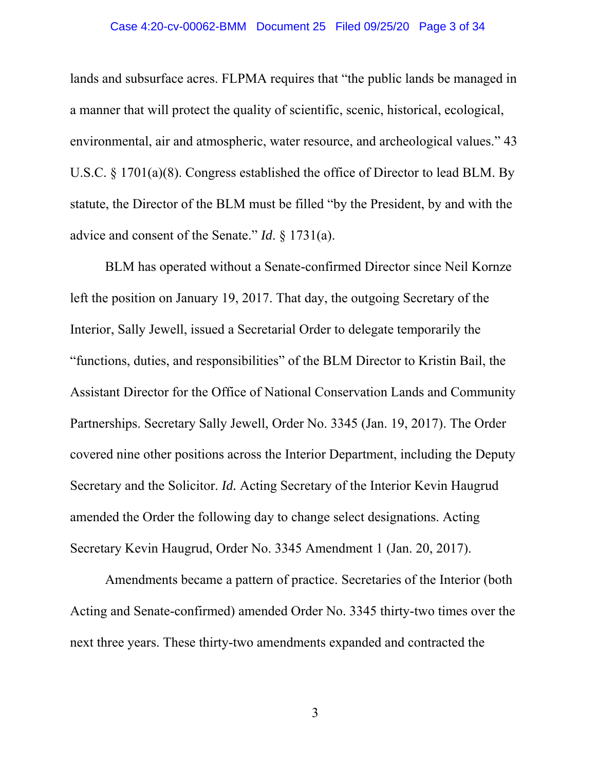### Case 4:20-cv-00062-BMM Document 25 Filed 09/25/20 Page 3 of 34

lands and subsurface acres. FLPMA requires that "the public lands be managed in a manner that will protect the quality of scientific, scenic, historical, ecological, environmental, air and atmospheric, water resource, and archeological values." 43 U.S.C. § 1701(a)(8). Congress established the office of Director to lead BLM. By statute, the Director of the BLM must be filled "by the President, by and with the advice and consent of the Senate." *Id*. § 1731(a).

BLM has operated without a Senate-confirmed Director since Neil Kornze left the position on January 19, 2017. That day, the outgoing Secretary of the Interior, Sally Jewell, issued a Secretarial Order to delegate temporarily the "functions, duties, and responsibilities" of the BLM Director to Kristin Bail, the Assistant Director for the Office of National Conservation Lands and Community Partnerships. Secretary Sally Jewell, Order No. 3345 (Jan. 19, 2017). The Order covered nine other positions across the Interior Department, including the Deputy Secretary and the Solicitor. *Id.* Acting Secretary of the Interior Kevin Haugrud amended the Order the following day to change select designations. Acting Secretary Kevin Haugrud, Order No. 3345 Amendment 1 (Jan. 20, 2017).

Amendments became a pattern of practice. Secretaries of the Interior (both Acting and Senate-confirmed) amended Order No. 3345 thirty-two times over the next three years. These thirty-two amendments expanded and contracted the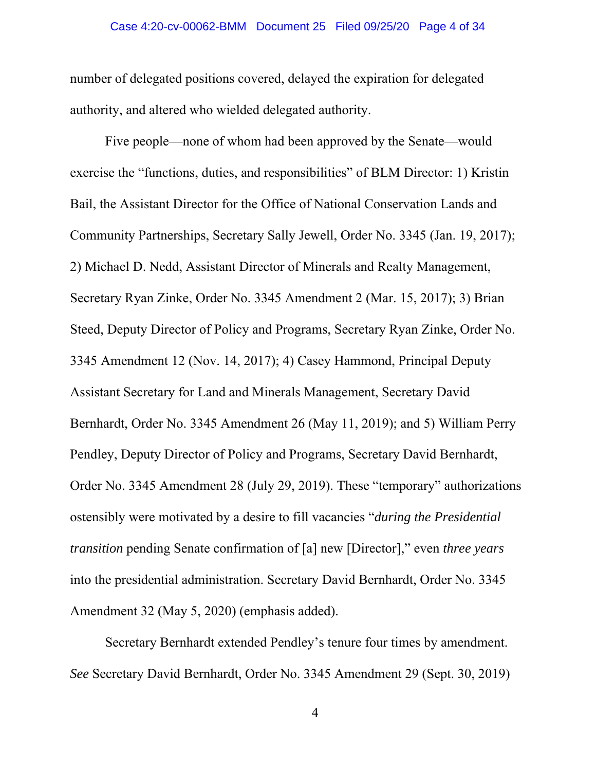number of delegated positions covered, delayed the expiration for delegated authority, and altered who wielded delegated authority.

Five people—none of whom had been approved by the Senate—would exercise the "functions, duties, and responsibilities" of BLM Director: 1) Kristin Bail, the Assistant Director for the Office of National Conservation Lands and Community Partnerships, Secretary Sally Jewell, Order No. 3345 (Jan. 19, 2017); 2) Michael D. Nedd, Assistant Director of Minerals and Realty Management, Secretary Ryan Zinke, Order No. 3345 Amendment 2 (Mar. 15, 2017); 3) Brian Steed, Deputy Director of Policy and Programs, Secretary Ryan Zinke, Order No. 3345 Amendment 12 (Nov. 14, 2017); 4) Casey Hammond, Principal Deputy Assistant Secretary for Land and Minerals Management, Secretary David Bernhardt, Order No. 3345 Amendment 26 (May 11, 2019); and 5) William Perry Pendley, Deputy Director of Policy and Programs, Secretary David Bernhardt, Order No. 3345 Amendment 28 (July 29, 2019). These "temporary" authorizations ostensibly were motivated by a desire to fill vacancies "*during the Presidential transition* pending Senate confirmation of [a] new [Director]," even *three years* into the presidential administration. Secretary David Bernhardt, Order No. 3345 Amendment 32 (May 5, 2020) (emphasis added).

Secretary Bernhardt extended Pendley's tenure four times by amendment. *See* Secretary David Bernhardt, Order No. 3345 Amendment 29 (Sept. 30, 2019)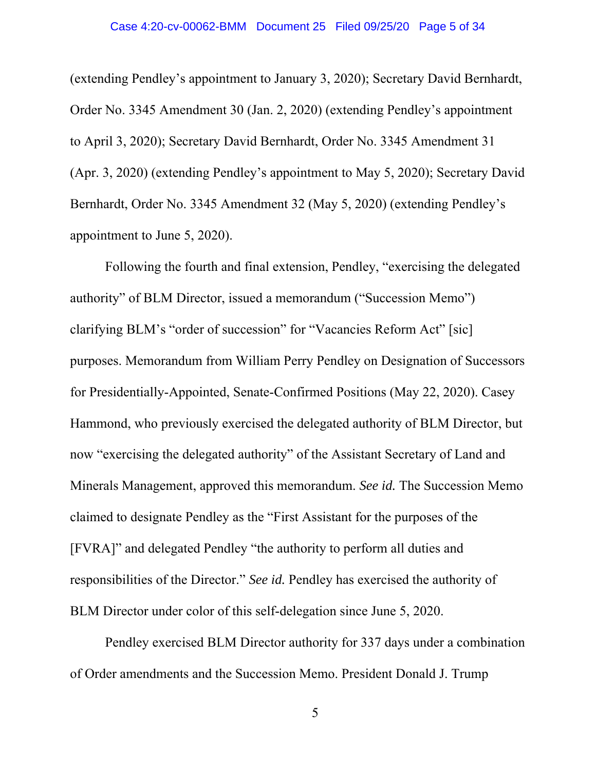(extending Pendley's appointment to January 3, 2020); Secretary David Bernhardt, Order No. 3345 Amendment 30 (Jan. 2, 2020) (extending Pendley's appointment to April 3, 2020); Secretary David Bernhardt, Order No. 3345 Amendment 31 (Apr. 3, 2020) (extending Pendley's appointment to May 5, 2020); Secretary David Bernhardt, Order No. 3345 Amendment 32 (May 5, 2020) (extending Pendley's appointment to June 5, 2020).

Following the fourth and final extension, Pendley, "exercising the delegated authority" of BLM Director, issued a memorandum ("Succession Memo") clarifying BLM's "order of succession" for "Vacancies Reform Act" [sic] purposes. Memorandum from William Perry Pendley on Designation of Successors for Presidentially-Appointed, Senate-Confirmed Positions (May 22, 2020). Casey Hammond, who previously exercised the delegated authority of BLM Director, but now "exercising the delegated authority" of the Assistant Secretary of Land and Minerals Management, approved this memorandum. *See id.* The Succession Memo claimed to designate Pendley as the "First Assistant for the purposes of the [FVRA]" and delegated Pendley "the authority to perform all duties and responsibilities of the Director." *See id.* Pendley has exercised the authority of BLM Director under color of this self-delegation since June 5, 2020.

Pendley exercised BLM Director authority for 337 days under a combination of Order amendments and the Succession Memo. President Donald J. Trump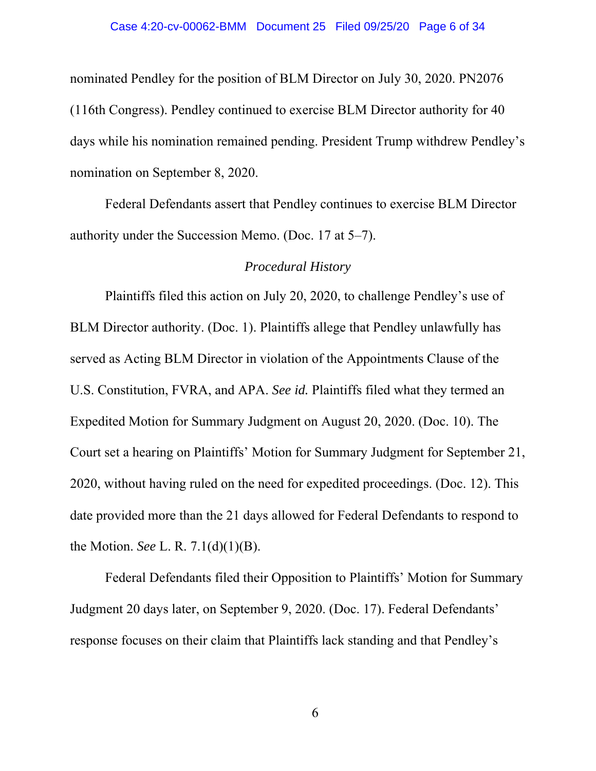### Case 4:20-cv-00062-BMM Document 25 Filed 09/25/20 Page 6 of 34

nominated Pendley for the position of BLM Director on July 30, 2020. PN2076 (116th Congress). Pendley continued to exercise BLM Director authority for 40 days while his nomination remained pending. President Trump withdrew Pendley's nomination on September 8, 2020.

Federal Defendants assert that Pendley continues to exercise BLM Director authority under the Succession Memo. (Doc. 17 at 5–7).

## *Procedural History*

Plaintiffs filed this action on July 20, 2020, to challenge Pendley's use of BLM Director authority. (Doc. 1). Plaintiffs allege that Pendley unlawfully has served as Acting BLM Director in violation of the Appointments Clause of the U.S. Constitution, FVRA, and APA. *See id.* Plaintiffs filed what they termed an Expedited Motion for Summary Judgment on August 20, 2020. (Doc. 10). The Court set a hearing on Plaintiffs' Motion for Summary Judgment for September 21, 2020, without having ruled on the need for expedited proceedings. (Doc. 12). This date provided more than the 21 days allowed for Federal Defendants to respond to the Motion. *See* L. R. 7.1(d)(1)(B).

Federal Defendants filed their Opposition to Plaintiffs' Motion for Summary Judgment 20 days later, on September 9, 2020. (Doc. 17). Federal Defendants' response focuses on their claim that Plaintiffs lack standing and that Pendley's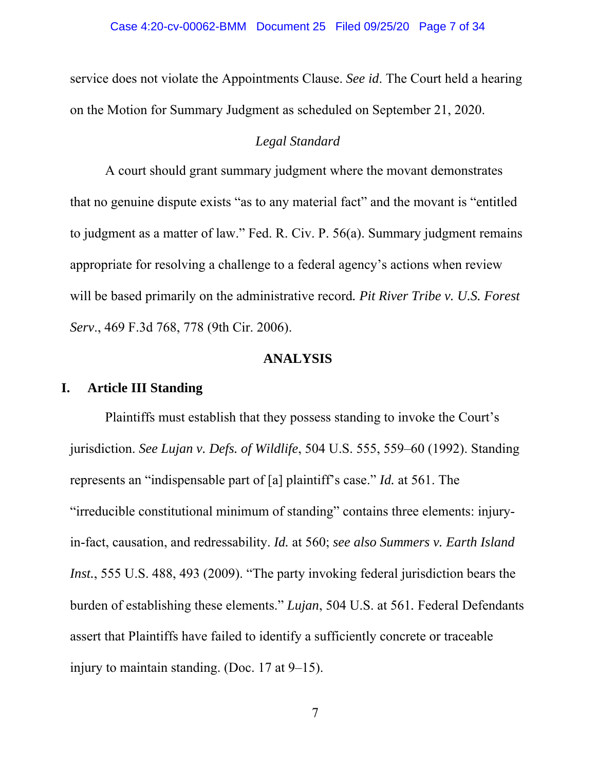service does not violate the Appointments Clause. *See id*. The Court held a hearing on the Motion for Summary Judgment as scheduled on September 21, 2020.

## *Legal Standard*

A court should grant summary judgment where the movant demonstrates that no genuine dispute exists "as to any material fact" and the movant is "entitled to judgment as a matter of law." Fed. R. Civ. P. 56(a). Summary judgment remains appropriate for resolving a challenge to a federal agency's actions when review will be based primarily on the administrative record*. Pit River Tribe v. U.S. Forest Serv*., 469 F.3d 768, 778 (9th Cir. 2006).

## **ANALYSIS**

## **I. Article III Standing**

Plaintiffs must establish that they possess standing to invoke the Court's jurisdiction. *See Lujan v. Defs. of Wildlife*, 504 U.S. 555, 559–60 (1992). Standing represents an "indispensable part of [a] plaintiff's case." *Id.* at 561. The "irreducible constitutional minimum of standing" contains three elements: injuryin-fact, causation, and redressability. *Id.* at 560; *see also Summers v. Earth Island Inst.*, 555 U.S. 488, 493 (2009). "The party invoking federal jurisdiction bears the burden of establishing these elements." *Lujan*, 504 U.S. at 561*.* Federal Defendants assert that Plaintiffs have failed to identify a sufficiently concrete or traceable injury to maintain standing. (Doc. 17 at 9–15).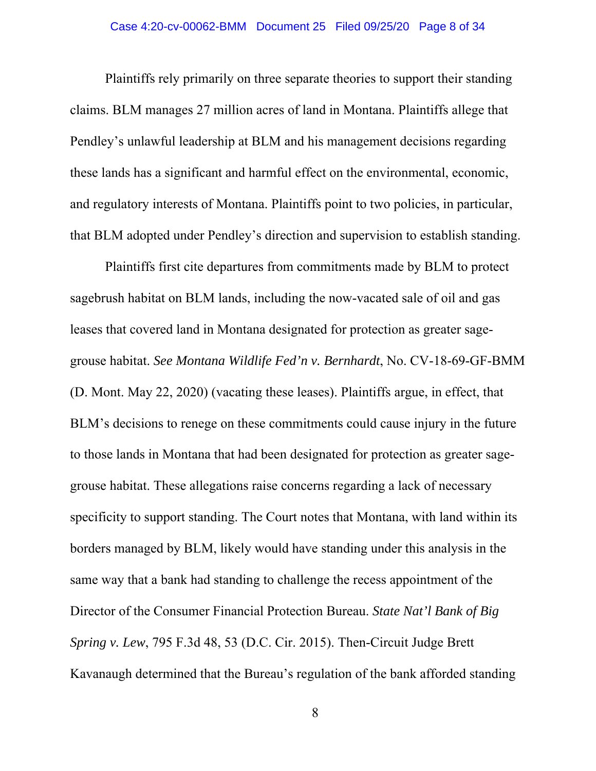Plaintiffs rely primarily on three separate theories to support their standing claims. BLM manages 27 million acres of land in Montana. Plaintiffs allege that Pendley's unlawful leadership at BLM and his management decisions regarding these lands has a significant and harmful effect on the environmental, economic, and regulatory interests of Montana. Plaintiffs point to two policies, in particular, that BLM adopted under Pendley's direction and supervision to establish standing.

Plaintiffs first cite departures from commitments made by BLM to protect sagebrush habitat on BLM lands, including the now-vacated sale of oil and gas leases that covered land in Montana designated for protection as greater sagegrouse habitat. *See Montana Wildlife Fed'n v. Bernhardt*, No. CV-18-69-GF-BMM (D. Mont. May 22, 2020) (vacating these leases). Plaintiffs argue, in effect, that BLM's decisions to renege on these commitments could cause injury in the future to those lands in Montana that had been designated for protection as greater sagegrouse habitat. These allegations raise concerns regarding a lack of necessary specificity to support standing. The Court notes that Montana, with land within its borders managed by BLM, likely would have standing under this analysis in the same way that a bank had standing to challenge the recess appointment of the Director of the Consumer Financial Protection Bureau. *State Nat'l Bank of Big Spring v. Lew*, 795 F.3d 48, 53 (D.C. Cir. 2015). Then-Circuit Judge Brett Kavanaugh determined that the Bureau's regulation of the bank afforded standing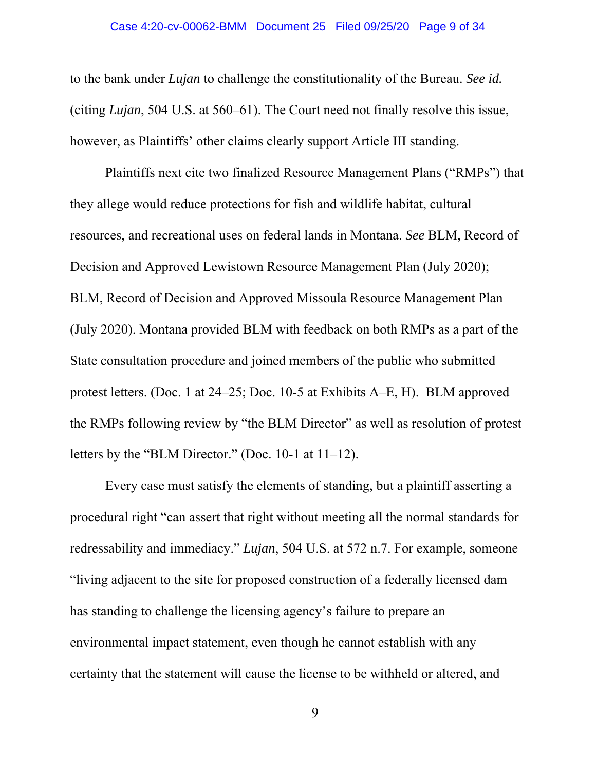to the bank under *Lujan* to challenge the constitutionality of the Bureau. *See id.* (citing *Lujan*, 504 U.S. at 560–61). The Court need not finally resolve this issue, however, as Plaintiffs' other claims clearly support Article III standing.

Plaintiffs next cite two finalized Resource Management Plans ("RMPs") that they allege would reduce protections for fish and wildlife habitat, cultural resources, and recreational uses on federal lands in Montana. *See* BLM, Record of Decision and Approved Lewistown Resource Management Plan (July 2020); BLM, Record of Decision and Approved Missoula Resource Management Plan (July 2020). Montana provided BLM with feedback on both RMPs as a part of the State consultation procedure and joined members of the public who submitted protest letters. (Doc. 1 at 24–25; Doc. 10-5 at Exhibits A–E, H). BLM approved the RMPs following review by "the BLM Director" as well as resolution of protest letters by the "BLM Director." (Doc. 10-1 at 11–12).

Every case must satisfy the elements of standing, but a plaintiff asserting a procedural right "can assert that right without meeting all the normal standards for redressability and immediacy." *Lujan*, 504 U.S. at 572 n.7. For example, someone "living adjacent to the site for proposed construction of a federally licensed dam has standing to challenge the licensing agency's failure to prepare an environmental impact statement, even though he cannot establish with any certainty that the statement will cause the license to be withheld or altered, and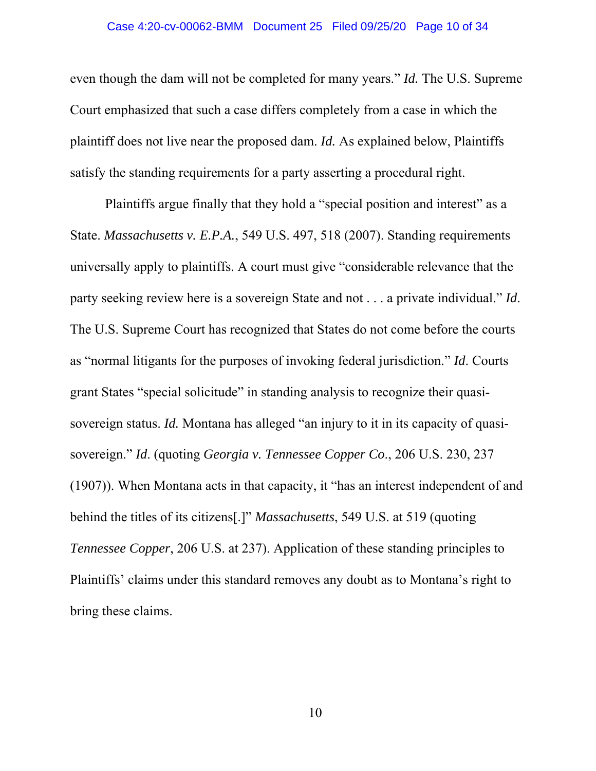## Case 4:20-cv-00062-BMM Document 25 Filed 09/25/20 Page 10 of 34

even though the dam will not be completed for many years." *Id.* The U.S. Supreme Court emphasized that such a case differs completely from a case in which the plaintiff does not live near the proposed dam. *Id.* As explained below, Plaintiffs satisfy the standing requirements for a party asserting a procedural right.

Plaintiffs argue finally that they hold a "special position and interest" as a State. *Massachusetts v. E.P.A.*, 549 U.S. 497, 518 (2007). Standing requirements universally apply to plaintiffs. A court must give "considerable relevance that the party seeking review here is a sovereign State and not . . . a private individual." *Id*. The U.S. Supreme Court has recognized that States do not come before the courts as "normal litigants for the purposes of invoking federal jurisdiction." *Id*. Courts grant States "special solicitude" in standing analysis to recognize their quasisovereign status. *Id.* Montana has alleged "an injury to it in its capacity of quasisovereign." *Id*. (quoting *Georgia v. Tennessee Copper Co*., 206 U.S. 230, 237 (1907)). When Montana acts in that capacity, it "has an interest independent of and behind the titles of its citizens[.]" *Massachusetts*, 549 U.S. at 519 (quoting *Tennessee Copper*, 206 U.S. at 237). Application of these standing principles to Plaintiffs' claims under this standard removes any doubt as to Montana's right to bring these claims.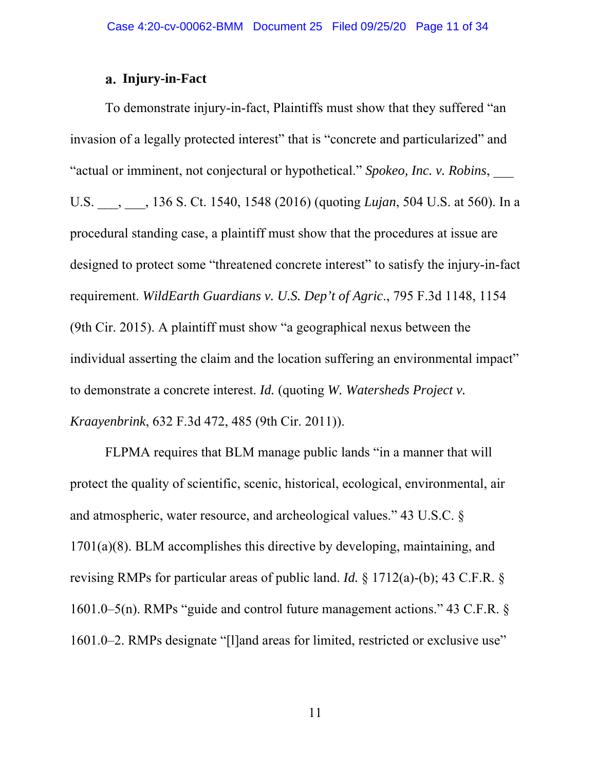## **Injury-in-Fact**

To demonstrate injury-in-fact, Plaintiffs must show that they suffered "an invasion of a legally protected interest" that is "concrete and particularized" and "actual or imminent, not conjectural or hypothetical." *Spokeo, Inc. v. Robins*, \_\_\_ U.S. \_\_\_, \_\_\_, 136 S. Ct. 1540, 1548 (2016) (quoting *Lujan*, 504 U.S. at 560). In a procedural standing case, a plaintiff must show that the procedures at issue are designed to protect some "threatened concrete interest" to satisfy the injury-in-fact requirement. *WildEarth Guardians v. U.S. Dep't of Agric*., 795 F.3d 1148, 1154 (9th Cir. 2015). A plaintiff must show "a geographical nexus between the individual asserting the claim and the location suffering an environmental impact" to demonstrate a concrete interest. *Id.* (quoting *W. Watersheds Project v. Kraayenbrink*, 632 F.3d 472, 485 (9th Cir. 2011)).

FLPMA requires that BLM manage public lands "in a manner that will protect the quality of scientific, scenic, historical, ecological, environmental, air and atmospheric, water resource, and archeological values." 43 U.S.C. § 1701(a)(8). BLM accomplishes this directive by developing, maintaining, and revising RMPs for particular areas of public land. *Id.* § 1712(a)-(b); 43 C.F.R. § 1601.0–5(n). RMPs "guide and control future management actions." 43 C.F.R. § 1601.0–2. RMPs designate "[l]and areas for limited, restricted or exclusive use"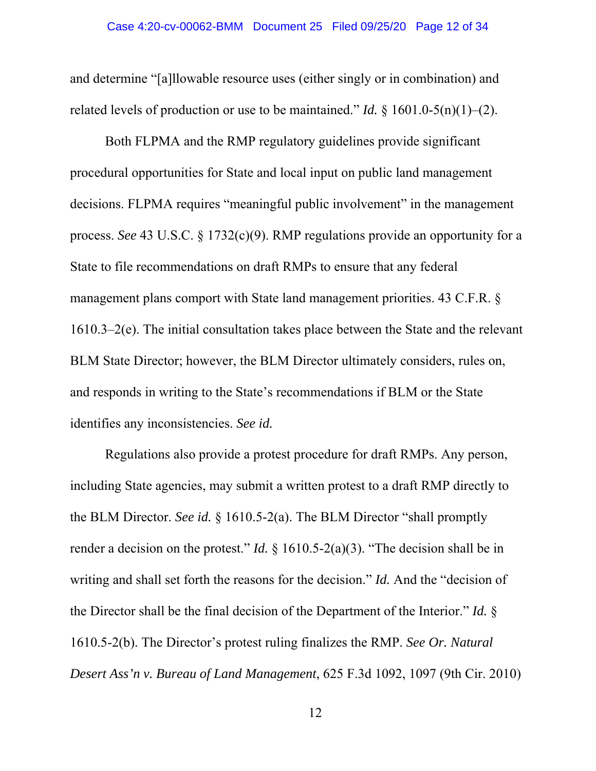and determine "[a]llowable resource uses (either singly or in combination) and related levels of production or use to be maintained." *Id.*  $\S 1601.0-5(n)(1)-(2)$ .

Both FLPMA and the RMP regulatory guidelines provide significant procedural opportunities for State and local input on public land management decisions. FLPMA requires "meaningful public involvement" in the management process. *See* 43 U.S.C. § 1732(c)(9). RMP regulations provide an opportunity for a State to file recommendations on draft RMPs to ensure that any federal management plans comport with State land management priorities. 43 C.F.R. § 1610.3–2(e). The initial consultation takes place between the State and the relevant BLM State Director; however, the BLM Director ultimately considers, rules on, and responds in writing to the State's recommendations if BLM or the State identifies any inconsistencies. *See id.*

Regulations also provide a protest procedure for draft RMPs. Any person, including State agencies, may submit a written protest to a draft RMP directly to the BLM Director. *See id.* § 1610.5-2(a). The BLM Director "shall promptly render a decision on the protest." *Id.* § 1610.5-2(a)(3). "The decision shall be in writing and shall set forth the reasons for the decision." *Id.* And the "decision of the Director shall be the final decision of the Department of the Interior." *Id.* § 1610.5-2(b). The Director's protest ruling finalizes the RMP. *See Or. Natural Desert Ass'n v. Bureau of Land Management*, 625 F.3d 1092, 1097 (9th Cir. 2010)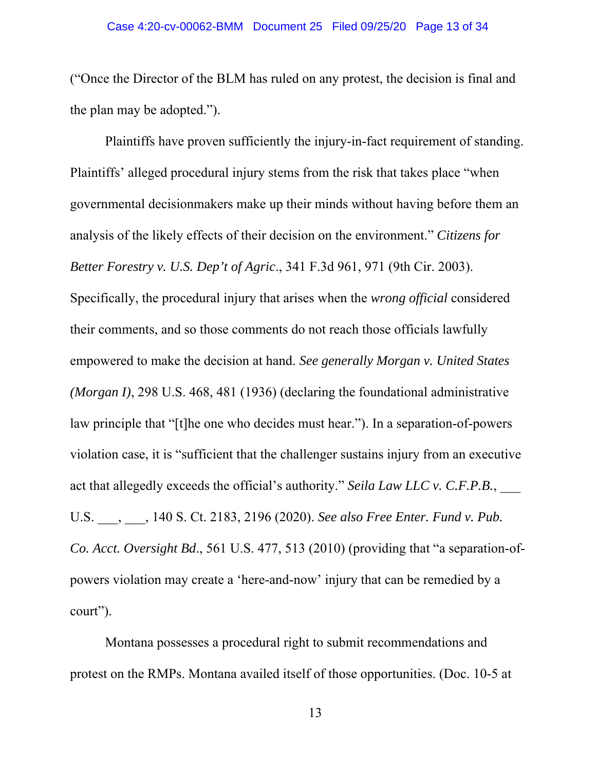("Once the Director of the BLM has ruled on any protest, the decision is final and the plan may be adopted.").

Plaintiffs have proven sufficiently the injury-in-fact requirement of standing. Plaintiffs' alleged procedural injury stems from the risk that takes place "when governmental decisionmakers make up their minds without having before them an analysis of the likely effects of their decision on the environment." *Citizens for Better Forestry v. U.S. Dep't of Agric*., 341 F.3d 961, 971 (9th Cir. 2003). Specifically, the procedural injury that arises when the *wrong official* considered their comments, and so those comments do not reach those officials lawfully empowered to make the decision at hand. *See generally Morgan v. United States (Morgan I)*, 298 U.S. 468, 481 (1936) (declaring the foundational administrative law principle that "[t]he one who decides must hear."). In a separation-of-powers violation case, it is "sufficient that the challenger sustains injury from an executive act that allegedly exceeds the official's authority." Seila Law LLC v. C.F.P.B., U.S. \_\_\_, \_\_\_, 140 S. Ct. 2183, 2196 (2020). *See also Free Enter. Fund v. Pub. Co. Acct. Oversight Bd*., 561 U.S. 477, 513 (2010) (providing that "a separation-ofpowers violation may create a 'here-and-now' injury that can be remedied by a court").

Montana possesses a procedural right to submit recommendations and protest on the RMPs. Montana availed itself of those opportunities. (Doc. 10-5 at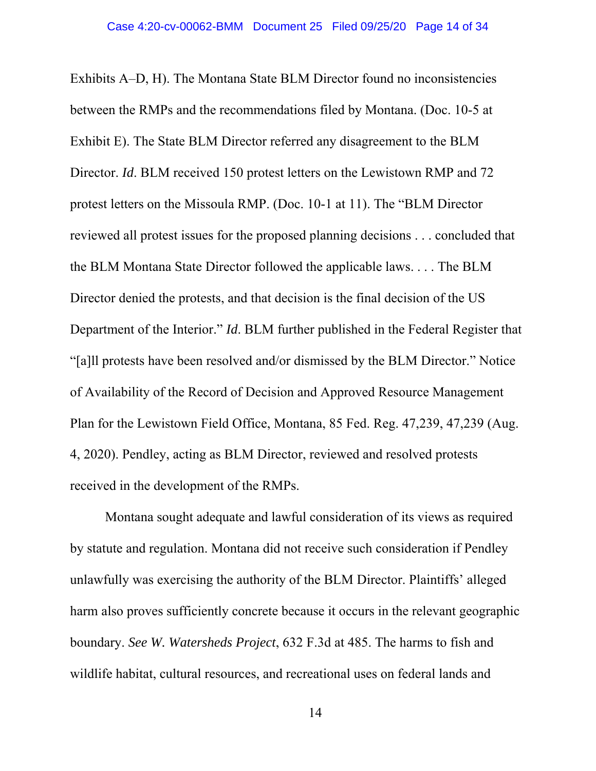Exhibits A–D, H). The Montana State BLM Director found no inconsistencies between the RMPs and the recommendations filed by Montana. (Doc. 10-5 at Exhibit E). The State BLM Director referred any disagreement to the BLM Director. *Id*. BLM received 150 protest letters on the Lewistown RMP and 72 protest letters on the Missoula RMP. (Doc. 10-1 at 11). The "BLM Director reviewed all protest issues for the proposed planning decisions . . . concluded that the BLM Montana State Director followed the applicable laws. . . . The BLM Director denied the protests, and that decision is the final decision of the US Department of the Interior." *Id*. BLM further published in the Federal Register that "[a]ll protests have been resolved and/or dismissed by the BLM Director." Notice of Availability of the Record of Decision and Approved Resource Management Plan for the Lewistown Field Office, Montana, 85 Fed. Reg. 47,239, 47,239 (Aug. 4, 2020). Pendley, acting as BLM Director, reviewed and resolved protests received in the development of the RMPs.

Montana sought adequate and lawful consideration of its views as required by statute and regulation. Montana did not receive such consideration if Pendley unlawfully was exercising the authority of the BLM Director. Plaintiffs' alleged harm also proves sufficiently concrete because it occurs in the relevant geographic boundary. *See W. Watersheds Project*, 632 F.3d at 485. The harms to fish and wildlife habitat, cultural resources, and recreational uses on federal lands and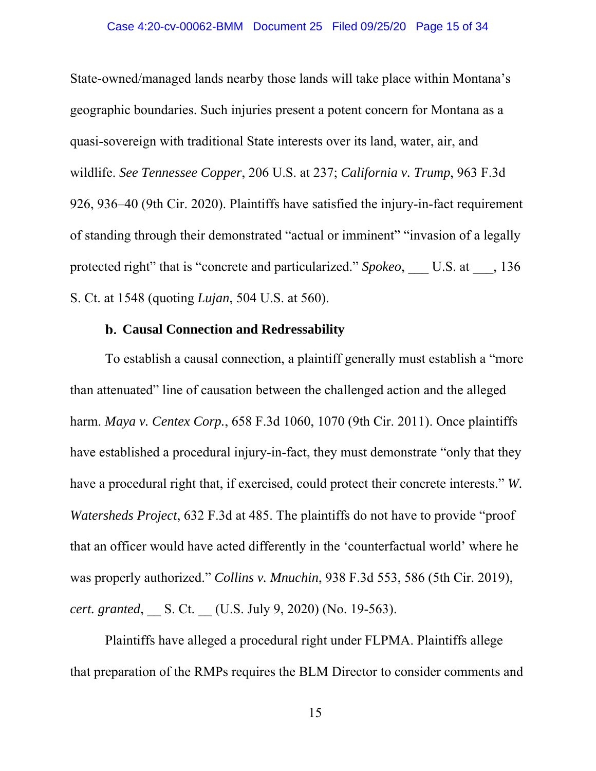State-owned/managed lands nearby those lands will take place within Montana's geographic boundaries. Such injuries present a potent concern for Montana as a quasi-sovereign with traditional State interests over its land, water, air, and wildlife. *See Tennessee Copper*, 206 U.S. at 237; *California v. Trump*, 963 F.3d 926, 936–40 (9th Cir. 2020). Plaintiffs have satisfied the injury-in-fact requirement of standing through their demonstrated "actual or imminent" "invasion of a legally protected right" that is "concrete and particularized." *Spokeo*, U.S. at  $\qquad$ , 136 S. Ct. at 1548 (quoting *Lujan*, 504 U.S. at 560).

## **Causal Connection and Redressability**

To establish a causal connection, a plaintiff generally must establish a "more than attenuated" line of causation between the challenged action and the alleged harm. *Maya v. Centex Corp.*, 658 F.3d 1060, 1070 (9th Cir. 2011). Once plaintiffs have established a procedural injury-in-fact, they must demonstrate "only that they have a procedural right that, if exercised, could protect their concrete interests." *W. Watersheds Project*, 632 F.3d at 485. The plaintiffs do not have to provide "proof that an officer would have acted differently in the 'counterfactual world' where he was properly authorized." *Collins v. Mnuchin*, 938 F.3d 553, 586 (5th Cir. 2019), *cert. granted,* S. Ct. (U.S. July 9, 2020) (No. 19-563).

Plaintiffs have alleged a procedural right under FLPMA. Plaintiffs allege that preparation of the RMPs requires the BLM Director to consider comments and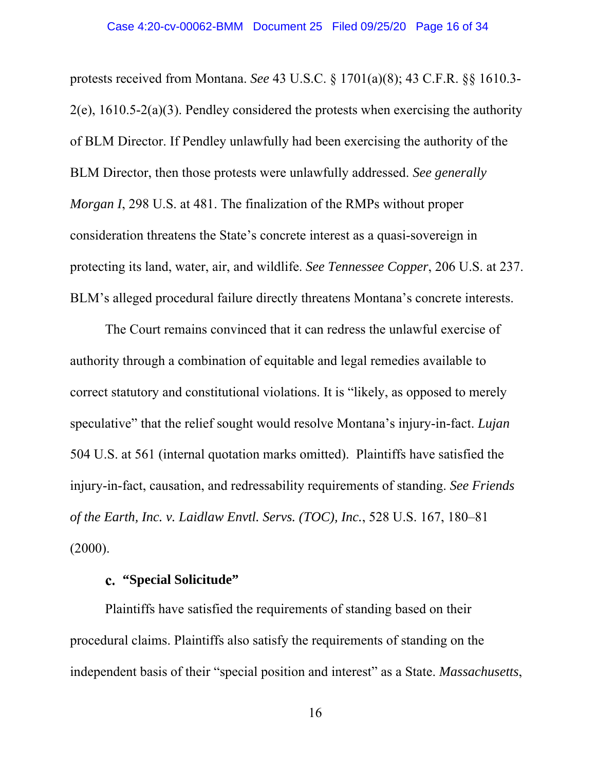protests received from Montana. *See* 43 U.S.C. § 1701(a)(8); 43 C.F.R. §§ 1610.3-  $2(e)$ , 1610.5-2(a)(3). Pendley considered the protests when exercising the authority of BLM Director. If Pendley unlawfully had been exercising the authority of the BLM Director, then those protests were unlawfully addressed. *See generally Morgan I*, 298 U.S. at 481. The finalization of the RMPs without proper consideration threatens the State's concrete interest as a quasi-sovereign in protecting its land, water, air, and wildlife. *See Tennessee Copper*, 206 U.S. at 237. BLM's alleged procedural failure directly threatens Montana's concrete interests.

The Court remains convinced that it can redress the unlawful exercise of authority through a combination of equitable and legal remedies available to correct statutory and constitutional violations. It is "likely, as opposed to merely speculative" that the relief sought would resolve Montana's injury-in-fact. *Lujan*  504 U.S. at 561 (internal quotation marks omitted). Plaintiffs have satisfied the injury-in-fact, causation, and redressability requirements of standing. *See Friends of the Earth, Inc. v. Laidlaw Envtl. Servs. (TOC), Inc.*, 528 U.S. 167, 180–81 (2000).

# **"Special Solicitude"**

Plaintiffs have satisfied the requirements of standing based on their procedural claims. Plaintiffs also satisfy the requirements of standing on the independent basis of their "special position and interest" as a State. *Massachusetts*,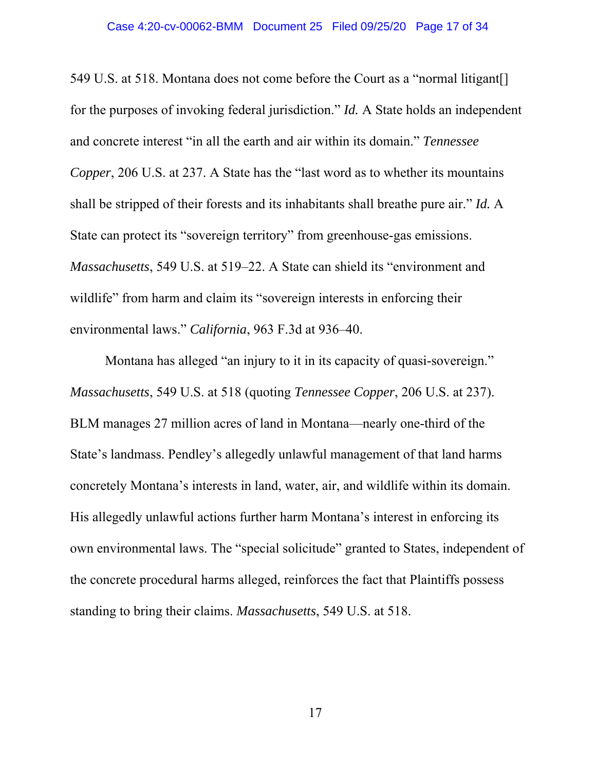549 U.S. at 518. Montana does not come before the Court as a "normal litigant[] for the purposes of invoking federal jurisdiction." *Id.* A State holds an independent and concrete interest "in all the earth and air within its domain." *Tennessee Copper*, 206 U.S. at 237. A State has the "last word as to whether its mountains shall be stripped of their forests and its inhabitants shall breathe pure air." *Id.* A State can protect its "sovereign territory" from greenhouse-gas emissions. *Massachusetts*, 549 U.S. at 519–22. A State can shield its "environment and wildlife" from harm and claim its "sovereign interests in enforcing their environmental laws." *California*, 963 F.3d at 936–40.

Montana has alleged "an injury to it in its capacity of quasi-sovereign." *Massachusetts*, 549 U.S. at 518 (quoting *Tennessee Copper*, 206 U.S. at 237). BLM manages 27 million acres of land in Montana—nearly one-third of the State's landmass. Pendley's allegedly unlawful management of that land harms concretely Montana's interests in land, water, air, and wildlife within its domain. His allegedly unlawful actions further harm Montana's interest in enforcing its own environmental laws. The "special solicitude" granted to States, independent of the concrete procedural harms alleged, reinforces the fact that Plaintiffs possess standing to bring their claims. *Massachusetts*, 549 U.S. at 518.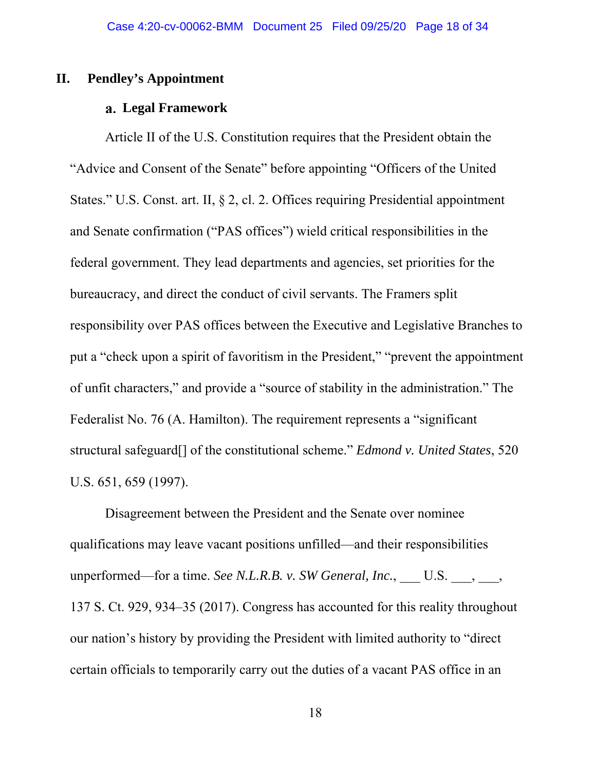## **II. Pendley's Appointment**

#### **Legal Framework**

Article II of the U.S. Constitution requires that the President obtain the "Advice and Consent of the Senate" before appointing "Officers of the United States." U.S. Const. art. II, § 2, cl. 2. Offices requiring Presidential appointment and Senate confirmation ("PAS offices") wield critical responsibilities in the federal government. They lead departments and agencies, set priorities for the bureaucracy, and direct the conduct of civil servants. The Framers split responsibility over PAS offices between the Executive and Legislative Branches to put a "check upon a spirit of favoritism in the President," "prevent the appointment of unfit characters," and provide a "source of stability in the administration." The Federalist No. 76 (A. Hamilton). The requirement represents a "significant structural safeguard[] of the constitutional scheme." *Edmond v. United States*, 520 U.S. 651, 659 (1997).

Disagreement between the President and the Senate over nominee qualifications may leave vacant positions unfilled—and their responsibilities unperformed—for a time. *See N.L.R.B. v. SW General, Inc.*, U.S. , , , 137 S. Ct. 929, 934–35 (2017). Congress has accounted for this reality throughout our nation's history by providing the President with limited authority to "direct certain officials to temporarily carry out the duties of a vacant PAS office in an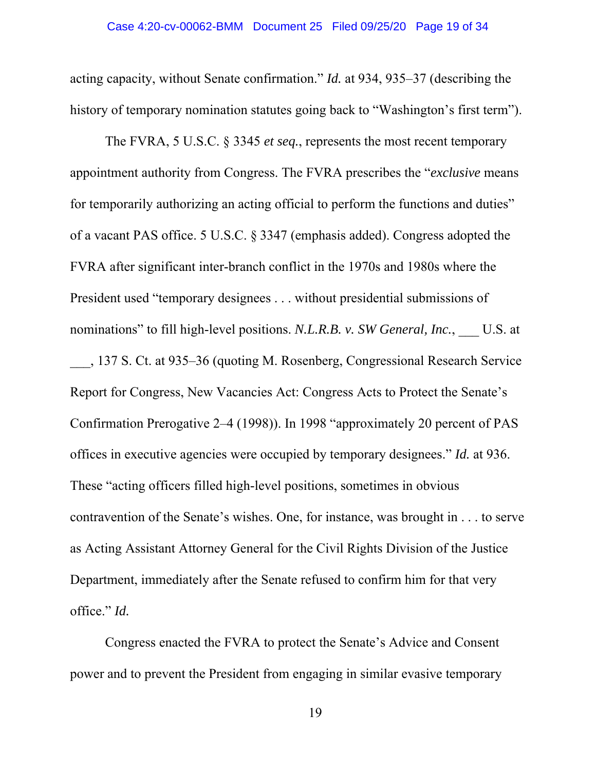acting capacity, without Senate confirmation." *Id.* at 934, 935–37 (describing the history of temporary nomination statutes going back to "Washington's first term").

The FVRA, 5 U.S.C. § 3345 *et seq.*, represents the most recent temporary appointment authority from Congress. The FVRA prescribes the "*exclusive* means for temporarily authorizing an acting official to perform the functions and duties" of a vacant PAS office. 5 U.S.C. § 3347 (emphasis added). Congress adopted the FVRA after significant inter-branch conflict in the 1970s and 1980s where the President used "temporary designees . . . without presidential submissions of nominations" to fill high-level positions. *N.L.R.B. v. SW General, Inc.*, U.S. at \_\_\_, 137 S. Ct. at 935–36 (quoting M. Rosenberg, Congressional Research Service Report for Congress, New Vacancies Act: Congress Acts to Protect the Senate's Confirmation Prerogative 2–4 (1998)). In 1998 "approximately 20 percent of PAS offices in executive agencies were occupied by temporary designees." *Id.* at 936. These "acting officers filled high-level positions, sometimes in obvious contravention of the Senate's wishes. One, for instance, was brought in . . . to serve as Acting Assistant Attorney General for the Civil Rights Division of the Justice Department, immediately after the Senate refused to confirm him for that very office." *Id.* 

Congress enacted the FVRA to protect the Senate's Advice and Consent power and to prevent the President from engaging in similar evasive temporary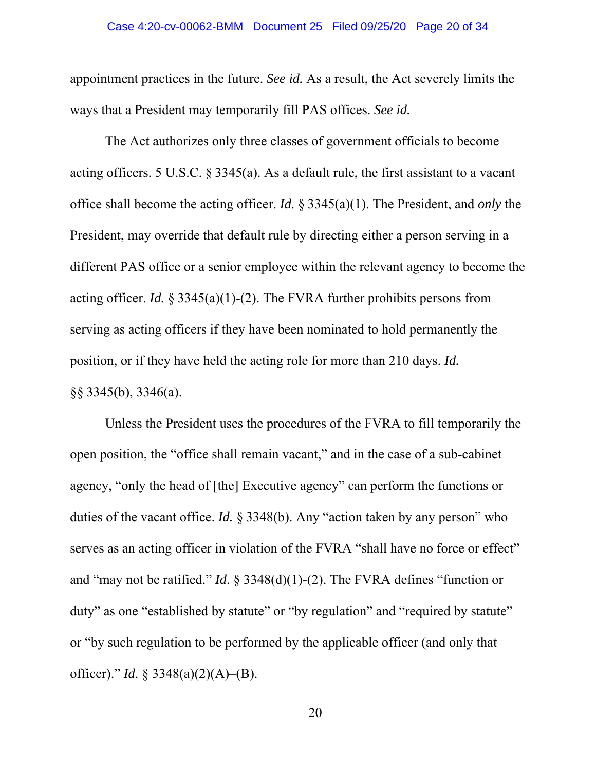## Case 4:20-cv-00062-BMM Document 25 Filed 09/25/20 Page 20 of 34

appointment practices in the future. *See id.* As a result, the Act severely limits the ways that a President may temporarily fill PAS offices. *See id.* 

The Act authorizes only three classes of government officials to become acting officers. 5 U.S.C. § 3345(a). As a default rule, the first assistant to a vacant office shall become the acting officer. *Id.* § 3345(a)(1). The President, and *only* the President, may override that default rule by directing either a person serving in a different PAS office or a senior employee within the relevant agency to become the acting officer. *Id.* § 3345(a)(1)-(2). The FVRA further prohibits persons from serving as acting officers if they have been nominated to hold permanently the position, or if they have held the acting role for more than 210 days. *Id.*  §§ 3345(b), 3346(a).

Unless the President uses the procedures of the FVRA to fill temporarily the open position, the "office shall remain vacant," and in the case of a sub-cabinet agency, "only the head of [the] Executive agency" can perform the functions or duties of the vacant office. *Id.* § 3348(b). Any "action taken by any person" who serves as an acting officer in violation of the FVRA "shall have no force or effect" and "may not be ratified." *Id*. § 3348(d)(1)-(2). The FVRA defines "function or duty" as one "established by statute" or "by regulation" and "required by statute" or "by such regulation to be performed by the applicable officer (and only that officer)." *Id*. § 3348(a)(2)(A)–(B).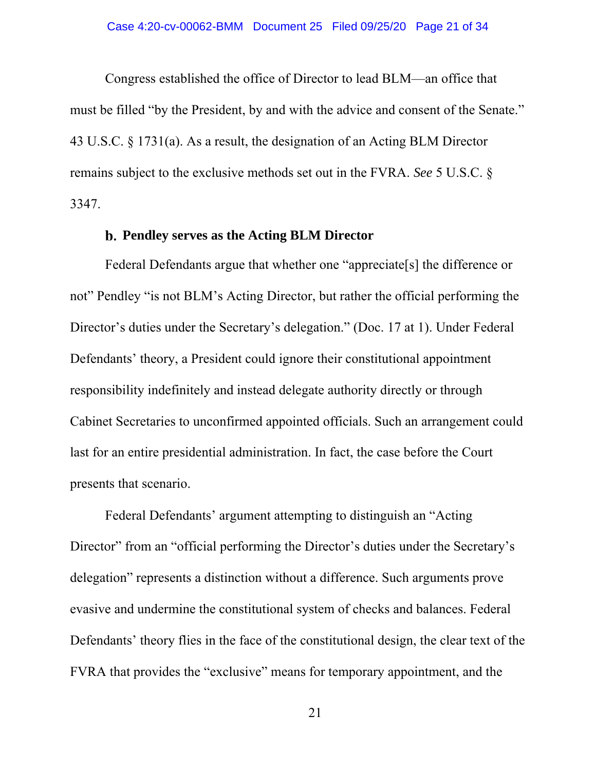Congress established the office of Director to lead BLM—an office that must be filled "by the President, by and with the advice and consent of the Senate." 43 U.S.C. § 1731(a). As a result, the designation of an Acting BLM Director remains subject to the exclusive methods set out in the FVRA. *See* 5 U.S.C. § 3347.

## **Pendley serves as the Acting BLM Director**

Federal Defendants argue that whether one "appreciate[s] the difference or not" Pendley "is not BLM's Acting Director, but rather the official performing the Director's duties under the Secretary's delegation." (Doc. 17 at 1). Under Federal Defendants' theory, a President could ignore their constitutional appointment responsibility indefinitely and instead delegate authority directly or through Cabinet Secretaries to unconfirmed appointed officials. Such an arrangement could last for an entire presidential administration. In fact, the case before the Court presents that scenario.

Federal Defendants' argument attempting to distinguish an "Acting Director" from an "official performing the Director's duties under the Secretary's delegation" represents a distinction without a difference. Such arguments prove evasive and undermine the constitutional system of checks and balances. Federal Defendants' theory flies in the face of the constitutional design, the clear text of the FVRA that provides the "exclusive" means for temporary appointment, and the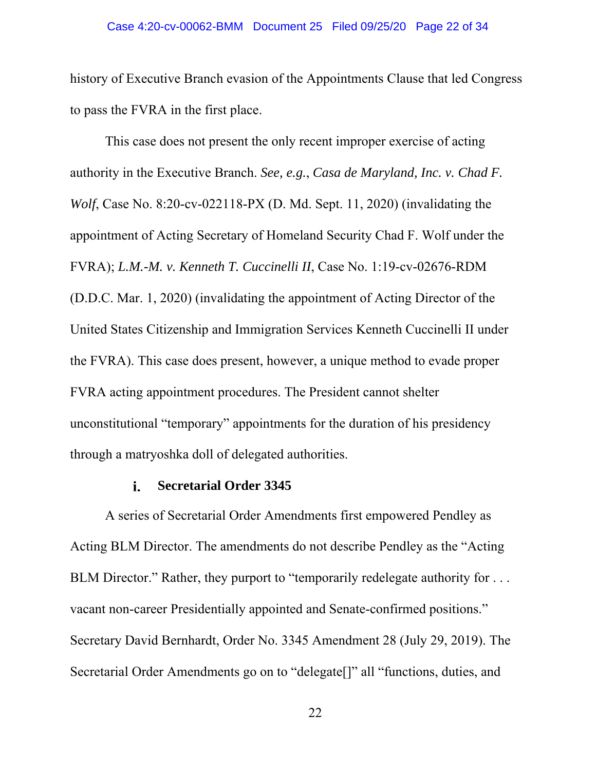## Case 4:20-cv-00062-BMM Document 25 Filed 09/25/20 Page 22 of 34

history of Executive Branch evasion of the Appointments Clause that led Congress to pass the FVRA in the first place.

This case does not present the only recent improper exercise of acting authority in the Executive Branch. *See, e.g.*, *Casa de Maryland, Inc. v. Chad F. Wolf*, Case No. 8:20-cv-022118-PX (D. Md. Sept. 11, 2020) (invalidating the appointment of Acting Secretary of Homeland Security Chad F. Wolf under the FVRA); *L.M.-M. v. Kenneth T. Cuccinelli II*, Case No. 1:19-cv-02676-RDM (D.D.C. Mar. 1, 2020) (invalidating the appointment of Acting Director of the United States Citizenship and Immigration Services Kenneth Cuccinelli II under the FVRA). This case does present, however, a unique method to evade proper FVRA acting appointment procedures. The President cannot shelter unconstitutional "temporary" appointments for the duration of his presidency through a matryoshka doll of delegated authorities.

#### i. **Secretarial Order 3345**

A series of Secretarial Order Amendments first empowered Pendley as Acting BLM Director. The amendments do not describe Pendley as the "Acting BLM Director." Rather, they purport to "temporarily redelegate authority for ... vacant non-career Presidentially appointed and Senate-confirmed positions." Secretary David Bernhardt, Order No. 3345 Amendment 28 (July 29, 2019). The Secretarial Order Amendments go on to "delegate[]" all "functions, duties, and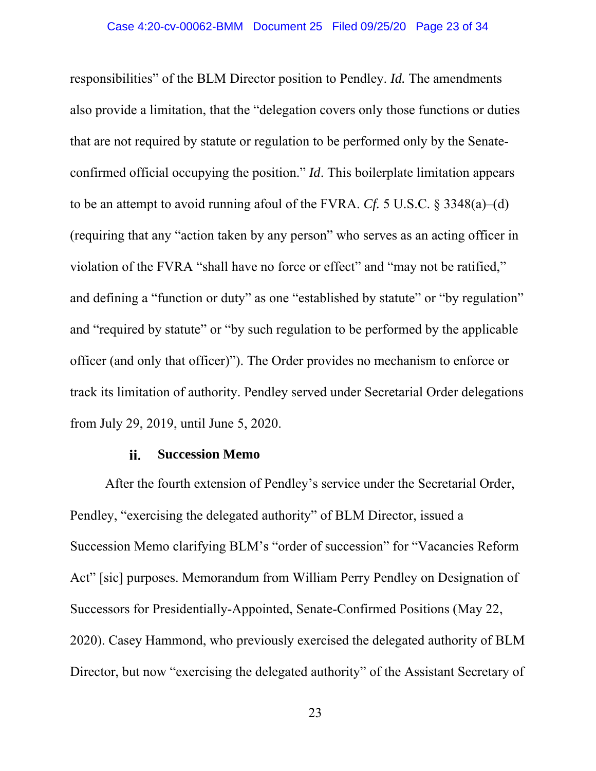responsibilities" of the BLM Director position to Pendley. *Id.* The amendments also provide a limitation, that the "delegation covers only those functions or duties that are not required by statute or regulation to be performed only by the Senateconfirmed official occupying the position." *Id*. This boilerplate limitation appears to be an attempt to avoid running afoul of the FVRA. *Cf.* 5 U.S.C. § 3348(a)–(d) (requiring that any "action taken by any person" who serves as an acting officer in violation of the FVRA "shall have no force or effect" and "may not be ratified," and defining a "function or duty" as one "established by statute" or "by regulation" and "required by statute" or "by such regulation to be performed by the applicable officer (and only that officer)"). The Order provides no mechanism to enforce or track its limitation of authority. Pendley served under Secretarial Order delegations from July 29, 2019, until June 5, 2020.

#### **Succession Memo**  ii.

After the fourth extension of Pendley's service under the Secretarial Order, Pendley, "exercising the delegated authority" of BLM Director, issued a Succession Memo clarifying BLM's "order of succession" for "Vacancies Reform Act" [sic] purposes. Memorandum from William Perry Pendley on Designation of Successors for Presidentially-Appointed, Senate-Confirmed Positions (May 22, 2020). Casey Hammond, who previously exercised the delegated authority of BLM Director, but now "exercising the delegated authority" of the Assistant Secretary of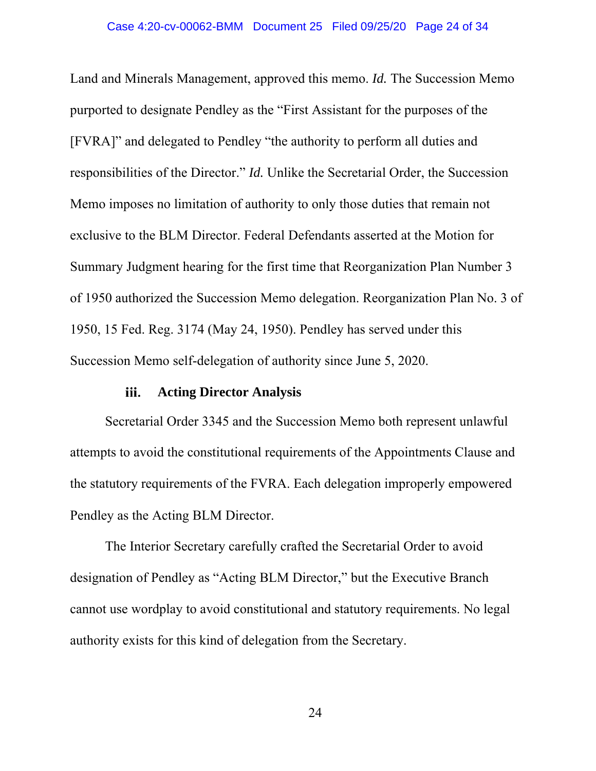Land and Minerals Management, approved this memo. *Id.* The Succession Memo purported to designate Pendley as the "First Assistant for the purposes of the [FVRA]" and delegated to Pendley "the authority to perform all duties and responsibilities of the Director." *Id.* Unlike the Secretarial Order, the Succession Memo imposes no limitation of authority to only those duties that remain not exclusive to the BLM Director. Federal Defendants asserted at the Motion for Summary Judgment hearing for the first time that Reorganization Plan Number 3 of 1950 authorized the Succession Memo delegation. Reorganization Plan No. 3 of 1950, 15 Fed. Reg. 3174 (May 24, 1950). Pendley has served under this Succession Memo self-delegation of authority since June 5, 2020.

#### **Acting Director Analysis**  iii.

Secretarial Order 3345 and the Succession Memo both represent unlawful attempts to avoid the constitutional requirements of the Appointments Clause and the statutory requirements of the FVRA. Each delegation improperly empowered Pendley as the Acting BLM Director.

The Interior Secretary carefully crafted the Secretarial Order to avoid designation of Pendley as "Acting BLM Director," but the Executive Branch cannot use wordplay to avoid constitutional and statutory requirements. No legal authority exists for this kind of delegation from the Secretary.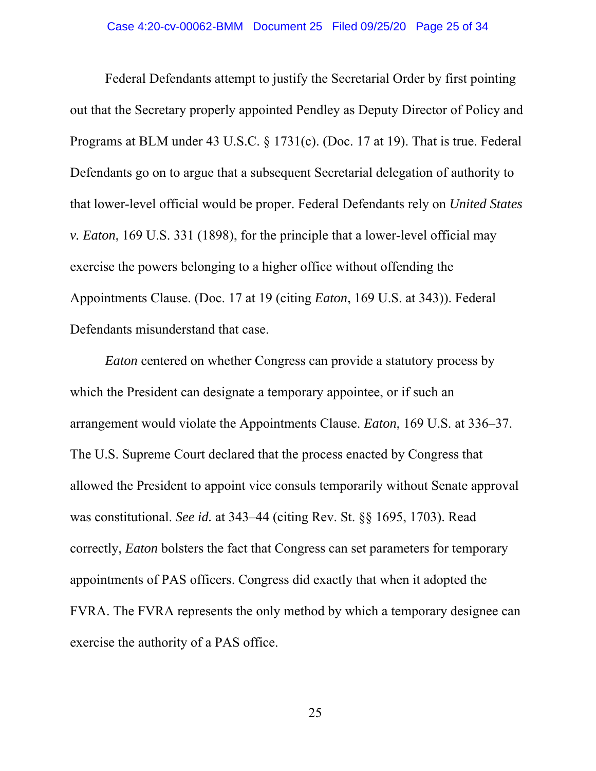Federal Defendants attempt to justify the Secretarial Order by first pointing out that the Secretary properly appointed Pendley as Deputy Director of Policy and Programs at BLM under 43 U.S.C. § 1731(c). (Doc. 17 at 19). That is true. Federal Defendants go on to argue that a subsequent Secretarial delegation of authority to that lower-level official would be proper. Federal Defendants rely on *United States v. Eaton*, 169 U.S. 331 (1898), for the principle that a lower-level official may exercise the powers belonging to a higher office without offending the Appointments Clause. (Doc. 17 at 19 (citing *Eaton*, 169 U.S. at 343)). Federal Defendants misunderstand that case.

*Eaton* centered on whether Congress can provide a statutory process by which the President can designate a temporary appointee, or if such an arrangement would violate the Appointments Clause. *Eaton*, 169 U.S. at 336–37. The U.S. Supreme Court declared that the process enacted by Congress that allowed the President to appoint vice consuls temporarily without Senate approval was constitutional. *See id.* at 343–44 (citing Rev. St. §§ 1695, 1703). Read correctly, *Eaton* bolsters the fact that Congress can set parameters for temporary appointments of PAS officers. Congress did exactly that when it adopted the FVRA. The FVRA represents the only method by which a temporary designee can exercise the authority of a PAS office.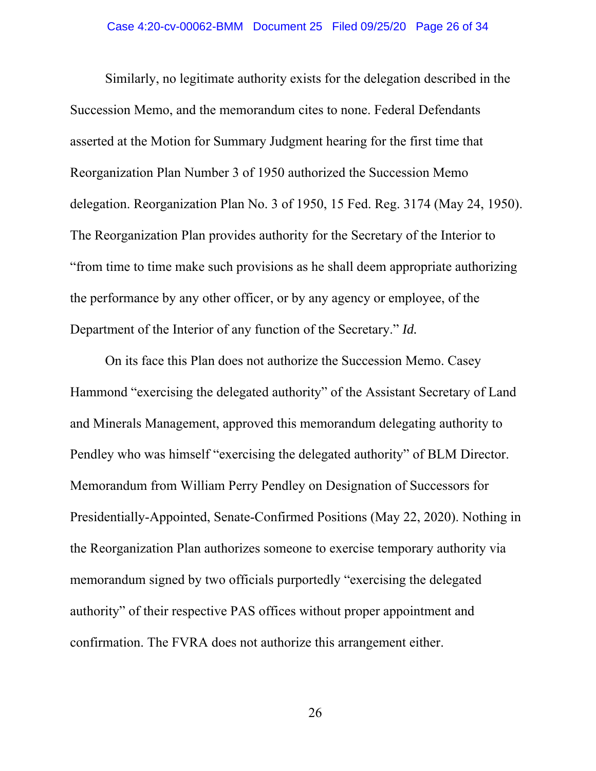Similarly, no legitimate authority exists for the delegation described in the Succession Memo, and the memorandum cites to none. Federal Defendants asserted at the Motion for Summary Judgment hearing for the first time that Reorganization Plan Number 3 of 1950 authorized the Succession Memo delegation. Reorganization Plan No. 3 of 1950, 15 Fed. Reg. 3174 (May 24, 1950). The Reorganization Plan provides authority for the Secretary of the Interior to "from time to time make such provisions as he shall deem appropriate authorizing the performance by any other officer, or by any agency or employee, of the Department of the Interior of any function of the Secretary." *Id.* 

On its face this Plan does not authorize the Succession Memo. Casey Hammond "exercising the delegated authority" of the Assistant Secretary of Land and Minerals Management, approved this memorandum delegating authority to Pendley who was himself "exercising the delegated authority" of BLM Director. Memorandum from William Perry Pendley on Designation of Successors for Presidentially-Appointed, Senate-Confirmed Positions (May 22, 2020). Nothing in the Reorganization Plan authorizes someone to exercise temporary authority via memorandum signed by two officials purportedly "exercising the delegated authority" of their respective PAS offices without proper appointment and confirmation. The FVRA does not authorize this arrangement either.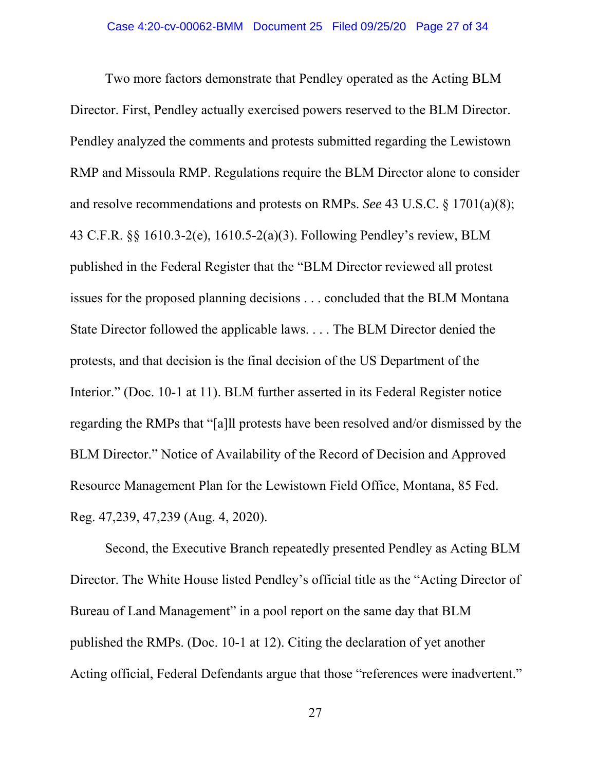Two more factors demonstrate that Pendley operated as the Acting BLM Director. First, Pendley actually exercised powers reserved to the BLM Director. Pendley analyzed the comments and protests submitted regarding the Lewistown RMP and Missoula RMP. Regulations require the BLM Director alone to consider and resolve recommendations and protests on RMPs. *See* 43 U.S.C. § 1701(a)(8); 43 C.F.R. §§ 1610.3-2(e), 1610.5-2(a)(3). Following Pendley's review, BLM published in the Federal Register that the "BLM Director reviewed all protest issues for the proposed planning decisions . . . concluded that the BLM Montana State Director followed the applicable laws. . . . The BLM Director denied the protests, and that decision is the final decision of the US Department of the Interior." (Doc. 10-1 at 11). BLM further asserted in its Federal Register notice regarding the RMPs that "[a]ll protests have been resolved and/or dismissed by the BLM Director." Notice of Availability of the Record of Decision and Approved Resource Management Plan for the Lewistown Field Office, Montana, 85 Fed. Reg. 47,239, 47,239 (Aug. 4, 2020).

Second, the Executive Branch repeatedly presented Pendley as Acting BLM Director. The White House listed Pendley's official title as the "Acting Director of Bureau of Land Management" in a pool report on the same day that BLM published the RMPs. (Doc. 10-1 at 12). Citing the declaration of yet another Acting official, Federal Defendants argue that those "references were inadvertent."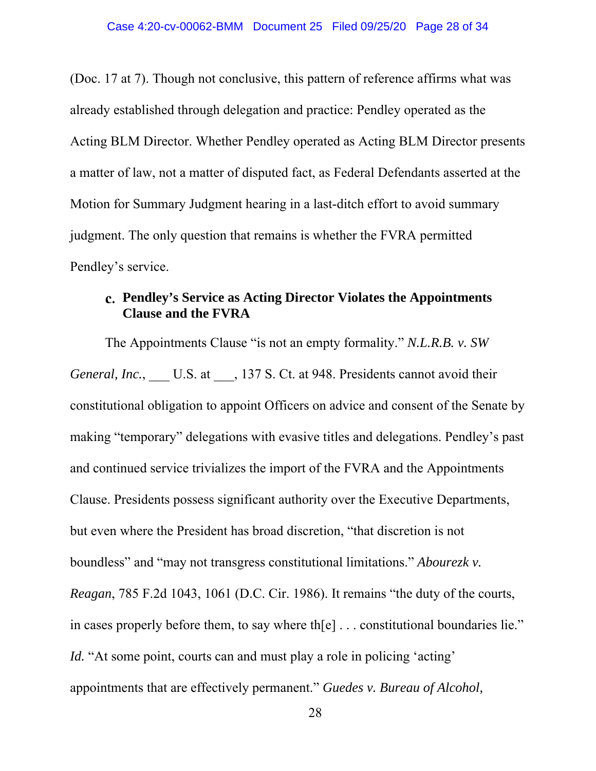(Doc. 17 at 7). Though not conclusive, this pattern of reference affirms what was already established through delegation and practice: Pendley operated as the Acting BLM Director. Whether Pendley operated as Acting BLM Director presents a matter of law, not a matter of disputed fact, as Federal Defendants asserted at the Motion for Summary Judgment hearing in a last-ditch effort to avoid summary judgment. The only question that remains is whether the FVRA permitted Pendley's service.

# **Pendley's Service as Acting Director Violates the Appointments Clause and the FVRA**

The Appointments Clause "is not an empty formality." *N.L.R.B. v. SW General, Inc.*, U.S. at , 137 S. Ct. at 948. Presidents cannot avoid their constitutional obligation to appoint Officers on advice and consent of the Senate by making "temporary" delegations with evasive titles and delegations. Pendley's past and continued service trivializes the import of the FVRA and the Appointments Clause. Presidents possess significant authority over the Executive Departments, but even where the President has broad discretion, "that discretion is not boundless" and "may not transgress constitutional limitations." *Abourezk v. Reagan*, 785 F.2d 1043, 1061 (D.C. Cir. 1986). It remains "the duty of the courts, in cases properly before them, to say where th[e] . . . constitutional boundaries lie." *Id.* "At some point, courts can and must play a role in policing 'acting' appointments that are effectively permanent." *Guedes v. Bureau of Alcohol,*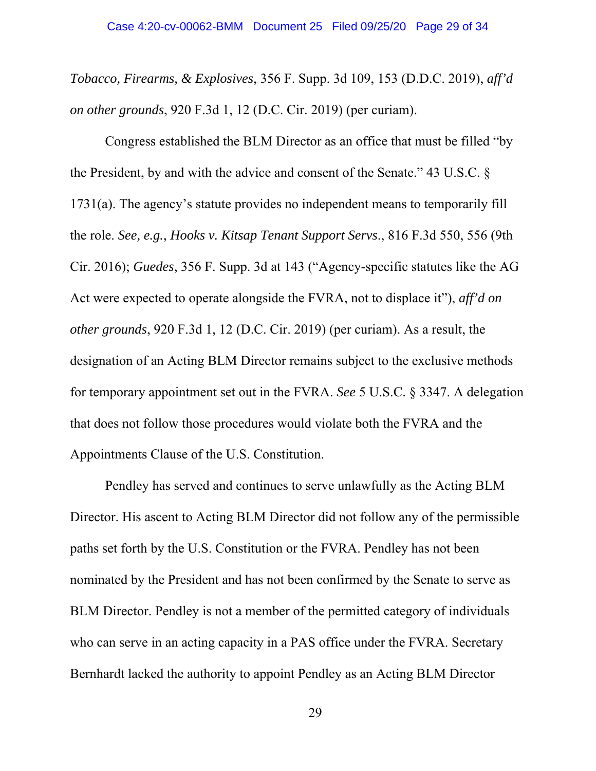*Tobacco, Firearms, & Explosives*, 356 F. Supp. 3d 109, 153 (D.D.C. 2019), *aff'd on other grounds*, 920 F.3d 1, 12 (D.C. Cir. 2019) (per curiam).

Congress established the BLM Director as an office that must be filled "by the President, by and with the advice and consent of the Senate." 43 U.S.C. § 1731(a). The agency's statute provides no independent means to temporarily fill the role. *See, e.g.*, *Hooks v. Kitsap Tenant Support Servs*., 816 F.3d 550, 556 (9th Cir. 2016); *Guedes*, 356 F. Supp. 3d at 143 ("Agency-specific statutes like the AG Act were expected to operate alongside the FVRA, not to displace it"), *aff'd on other grounds*, 920 F.3d 1, 12 (D.C. Cir. 2019) (per curiam). As a result, the designation of an Acting BLM Director remains subject to the exclusive methods for temporary appointment set out in the FVRA. *See* 5 U.S.C. § 3347. A delegation that does not follow those procedures would violate both the FVRA and the Appointments Clause of the U.S. Constitution.

Pendley has served and continues to serve unlawfully as the Acting BLM Director. His ascent to Acting BLM Director did not follow any of the permissible paths set forth by the U.S. Constitution or the FVRA. Pendley has not been nominated by the President and has not been confirmed by the Senate to serve as BLM Director. Pendley is not a member of the permitted category of individuals who can serve in an acting capacity in a PAS office under the FVRA. Secretary Bernhardt lacked the authority to appoint Pendley as an Acting BLM Director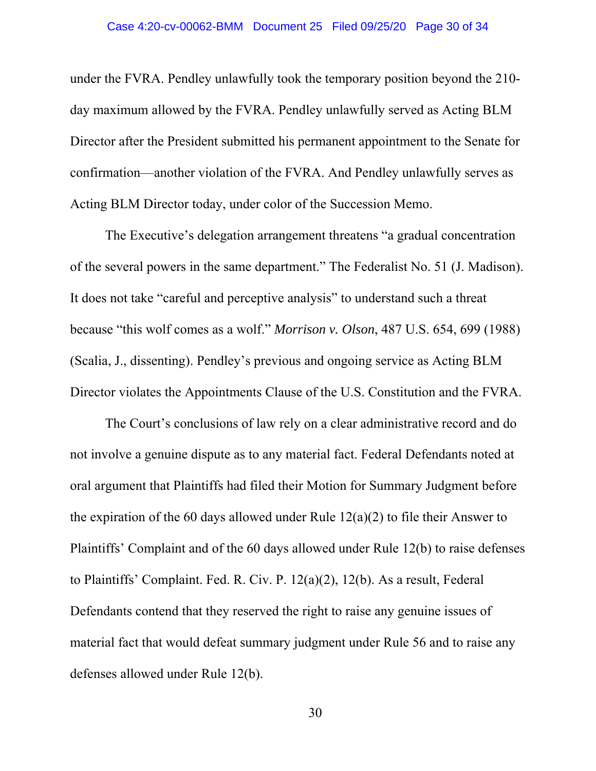under the FVRA. Pendley unlawfully took the temporary position beyond the 210 day maximum allowed by the FVRA. Pendley unlawfully served as Acting BLM Director after the President submitted his permanent appointment to the Senate for confirmation—another violation of the FVRA. And Pendley unlawfully serves as Acting BLM Director today, under color of the Succession Memo.

The Executive's delegation arrangement threatens "a gradual concentration of the several powers in the same department." The Federalist No. 51 (J. Madison). It does not take "careful and perceptive analysis" to understand such a threat because "this wolf comes as a wolf." *Morrison v. Olson*, 487 U.S. 654, 699 (1988) (Scalia, J., dissenting). Pendley's previous and ongoing service as Acting BLM Director violates the Appointments Clause of the U.S. Constitution and the FVRA.

The Court's conclusions of law rely on a clear administrative record and do not involve a genuine dispute as to any material fact. Federal Defendants noted at oral argument that Plaintiffs had filed their Motion for Summary Judgment before the expiration of the 60 days allowed under Rule  $12(a)(2)$  to file their Answer to Plaintiffs' Complaint and of the 60 days allowed under Rule 12(b) to raise defenses to Plaintiffs' Complaint. Fed. R. Civ. P. 12(a)(2), 12(b). As a result, Federal Defendants contend that they reserved the right to raise any genuine issues of material fact that would defeat summary judgment under Rule 56 and to raise any defenses allowed under Rule 12(b).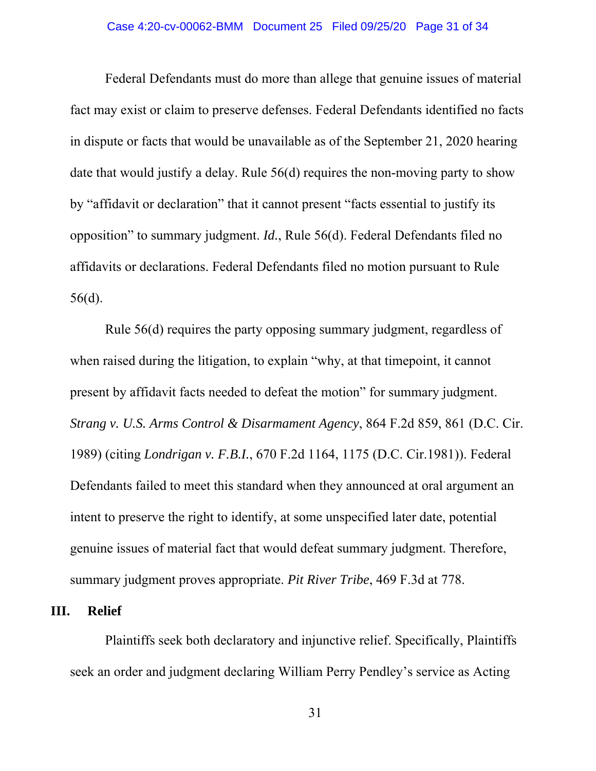## Case 4:20-cv-00062-BMM Document 25 Filed 09/25/20 Page 31 of 34

Federal Defendants must do more than allege that genuine issues of material fact may exist or claim to preserve defenses. Federal Defendants identified no facts in dispute or facts that would be unavailable as of the September 21, 2020 hearing date that would justify a delay. Rule 56(d) requires the non-moving party to show by "affidavit or declaration" that it cannot present "facts essential to justify its opposition" to summary judgment. *Id.*, Rule 56(d). Federal Defendants filed no affidavits or declarations. Federal Defendants filed no motion pursuant to Rule 56(d).

Rule 56(d) requires the party opposing summary judgment, regardless of when raised during the litigation, to explain "why, at that time point, it cannot present by affidavit facts needed to defeat the motion" for summary judgment. *Strang v. U.S. Arms Control & Disarmament Agency*, 864 F.2d 859, 861 (D.C. Cir. 1989) (citing *Londrigan v. F.B.I.*, 670 F.2d 1164, 1175 (D.C. Cir.1981)). Federal Defendants failed to meet this standard when they announced at oral argument an intent to preserve the right to identify, at some unspecified later date, potential genuine issues of material fact that would defeat summary judgment. Therefore, summary judgment proves appropriate. *Pit River Tribe*, 469 F.3d at 778.

## **III. Relief**

Plaintiffs seek both declaratory and injunctive relief. Specifically, Plaintiffs seek an order and judgment declaring William Perry Pendley's service as Acting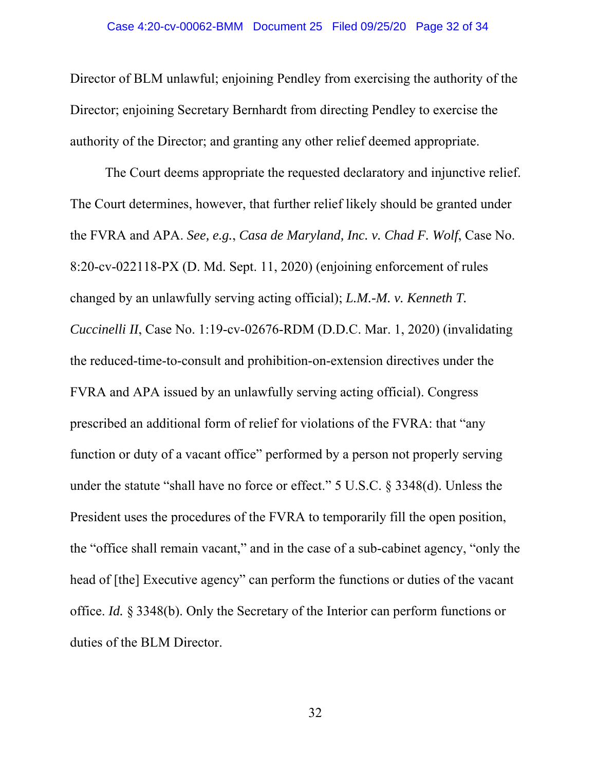Director of BLM unlawful; enjoining Pendley from exercising the authority of the Director; enjoining Secretary Bernhardt from directing Pendley to exercise the authority of the Director; and granting any other relief deemed appropriate.

The Court deems appropriate the requested declaratory and injunctive relief. The Court determines, however, that further relief likely should be granted under the FVRA and APA. *See, e.g.*, *Casa de Maryland, Inc. v. Chad F. Wolf*, Case No. 8:20-cv-022118-PX (D. Md. Sept. 11, 2020) (enjoining enforcement of rules changed by an unlawfully serving acting official); *L.M.-M. v. Kenneth T. Cuccinelli II*, Case No. 1:19-cv-02676-RDM (D.D.C. Mar. 1, 2020) (invalidating the reduced-time-to-consult and prohibition-on-extension directives under the FVRA and APA issued by an unlawfully serving acting official). Congress prescribed an additional form of relief for violations of the FVRA: that "any function or duty of a vacant office" performed by a person not properly serving under the statute "shall have no force or effect." 5 U.S.C. § 3348(d). Unless the President uses the procedures of the FVRA to temporarily fill the open position, the "office shall remain vacant," and in the case of a sub-cabinet agency, "only the head of [the] Executive agency" can perform the functions or duties of the vacant office. *Id.* § 3348(b). Only the Secretary of the Interior can perform functions or duties of the BLM Director.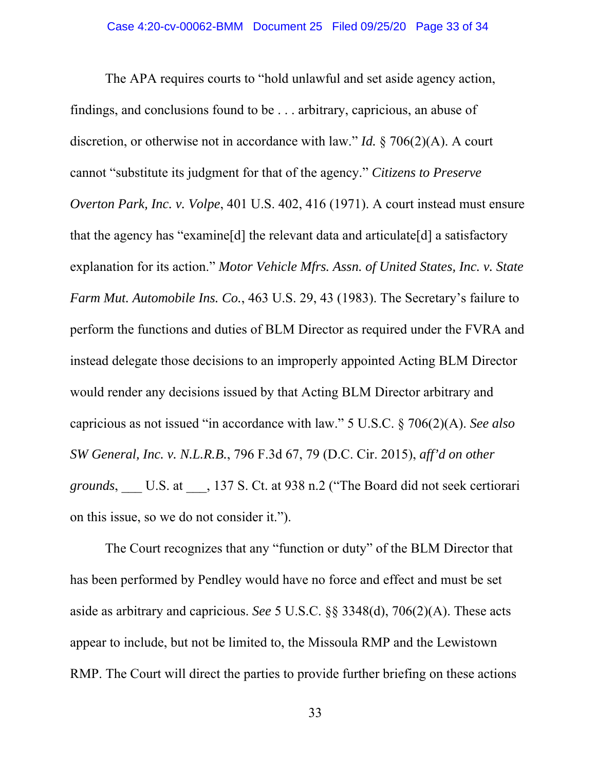The APA requires courts to "hold unlawful and set aside agency action, findings, and conclusions found to be . . . arbitrary, capricious, an abuse of discretion, or otherwise not in accordance with law." *Id.* § 706(2)(A). A court cannot "substitute its judgment for that of the agency." *Citizens to Preserve Overton Park, Inc. v. Volpe*, 401 U.S. 402, 416 (1971). A court instead must ensure that the agency has "examine[d] the relevant data and articulate[d] a satisfactory explanation for its action." *Motor Vehicle Mfrs. Assn. of United States, Inc. v. State Farm Mut. Automobile Ins. Co.*, 463 U.S. 29, 43 (1983). The Secretary's failure to perform the functions and duties of BLM Director as required under the FVRA and instead delegate those decisions to an improperly appointed Acting BLM Director would render any decisions issued by that Acting BLM Director arbitrary and capricious as not issued "in accordance with law." 5 U.S.C. § 706(2)(A). *See also SW General, Inc. v. N.L.R.B.*, 796 F.3d 67, 79 (D.C. Cir. 2015), *aff'd on other grounds*, \_\_\_ U.S. at \_\_\_, 137 S. Ct. at 938 n.2 ("The Board did not seek certiorari on this issue, so we do not consider it.").

The Court recognizes that any "function or duty" of the BLM Director that has been performed by Pendley would have no force and effect and must be set aside as arbitrary and capricious. *See* 5 U.S.C. §§ 3348(d), 706(2)(A). These acts appear to include, but not be limited to, the Missoula RMP and the Lewistown RMP. The Court will direct the parties to provide further briefing on these actions